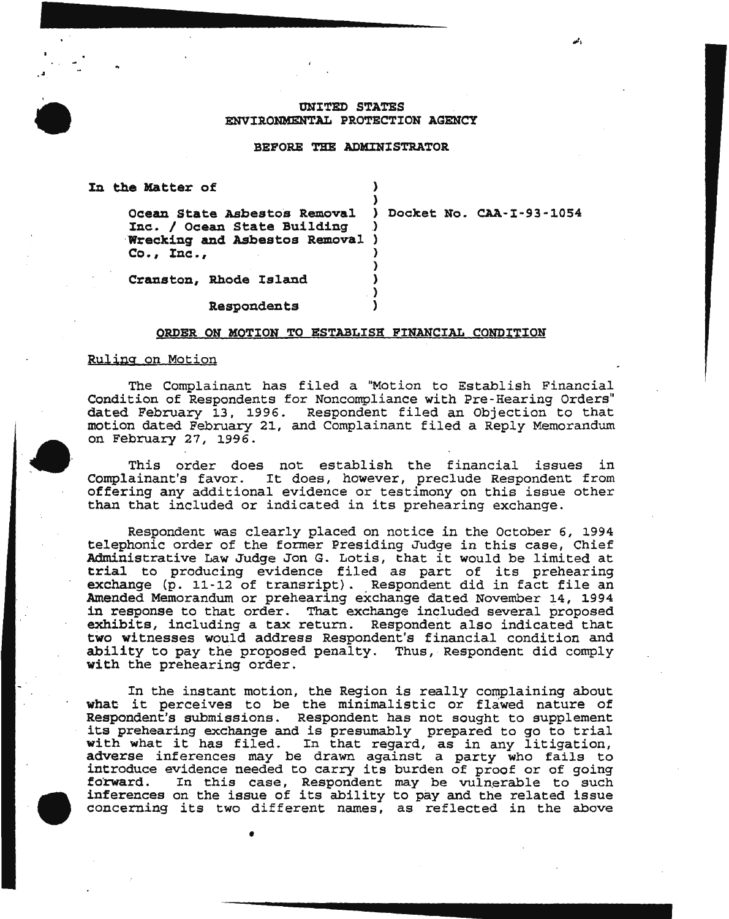# ONITED STATES ENVIRONMENTAL PROTECTION AGENCY

 $~\cdot~$ 

#### BEFORE THE ADMINISTRATOR

| In the Matter of                                                                                                                        |  |
|-----------------------------------------------------------------------------------------------------------------------------------------|--|
| Ocean State Asbestos Removal ) Docket No. CAA-I-93-1054<br>Inc. / Ocean State Building<br>Wrecking and Asbestos Removal )<br>Co., Inc., |  |
| Cranston, Rhode Island                                                                                                                  |  |

Respondents )

•

## ORDER ON MOTION TO ESTABLISH PINANCIAL CONDITION

## Ruling on Motion

. .<br>. .

The Complainant has filed a "Motion to Establish Financial Condition of Respondents for Noncompliance with Pre-Hearing Orders" dated February 13, 1996. Respondent filed an Objection to that motion dated February 21, and Complainant filed a Reply Memorandum on February 27, 1996.

This order does not establish the financial issues in Complainant's favor. It does, however, preclude Respondent from offering any additional evidence or testimony on this issue other than that included or indicated in its prehearing exchange.

Respondent was clearly placed on notice in the October 6, 1994 telephonic order of the former Presiding Judge in this case, Chief Administrative Law Judge Jon G. Lotis, that it would be limited at trial to producing evidence filed as part of its prehearing exchange (p. 11-12 of transript). Respondent did in fact file an Amended Memorandum or prehearing exchange dated November 14, 1994 in response to that order. That exchange included several proposed exhibits, including a tax return. Respondent also indicated that two witnesses would address Respondent's financial condition and ability to pay the proposed penalty. Thus, Respondent did comply with the prehearing order.

In the instant motion, the Region is really complaining about what it perceives to be the minimalistic or flawed nature of Respondent's submissions. Respondent has not sought to supplement its prehearing exchange and is presumably prepared to go to trial with what it has filed. In that regard, as in any litigation, adverse inferences may be drawn against a party who fails to introduce evidence needed to carry its burden of proof or of going In this case, Respondent may be vulnerable to such inferences on the issue of its ability to pay and the related issue concerning its two different names *1* as reflected in the above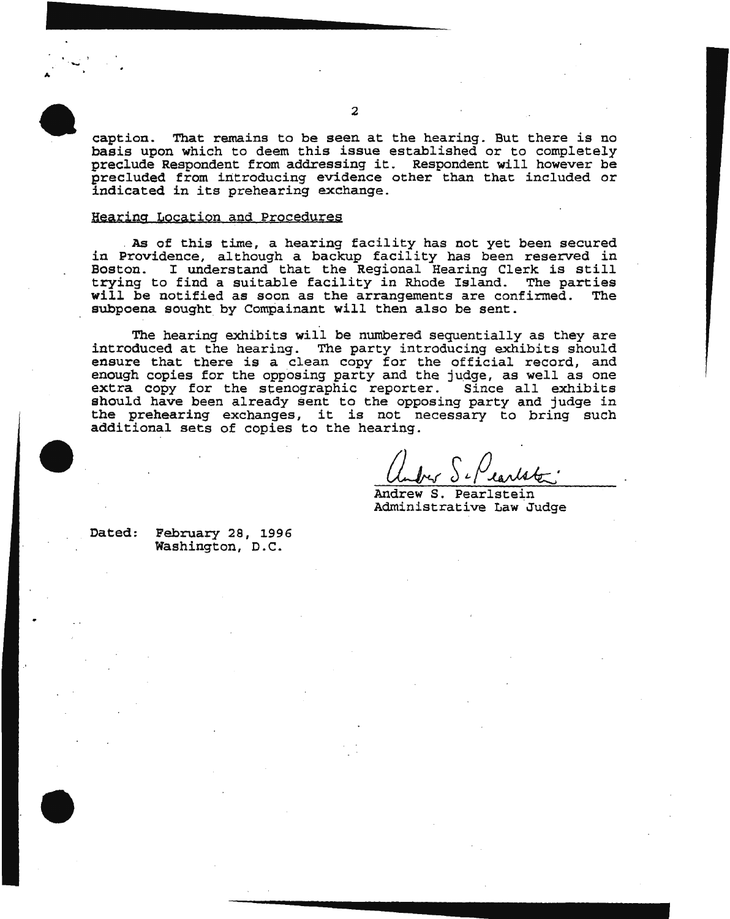caption. That remains to be seen at the hearing. But there is no basis upon which to deem this issue established or to completely preclude Respondent from addressing it. Respondent will however be precluded from introducing evidence other than that included or indicated in its prehearing exchange.

### Hearing Location and Procedures

. As of this time, a hearing facility has not yet been secured in Providence, although a backup facility has been reserved in Boston. I understand that the Regional Hearing Clerk is still trying to find a suitable facility in Rhode Island. The parties will be notified as soon as the arrangements are confirmed. subpoena sought by Compainant will then also be sent.

The hearing exhibits will be numbered sequentially as they are introduced at the hearing. The party introducing exhibits should ensure that there is a clean copy for the official record, and enough copies for the opposing party and the judge, as well as one extra copy for the stenographic reporter. Since all exhibits should have been already sent to the opposing party and judge in the prehearing exchanges, it is not necessary to bring such additional sets of copies to the hearing.

Andrew S. Pearlstein Administrative Law Judge

Dated: February 28, 1996 Washington, D.C.